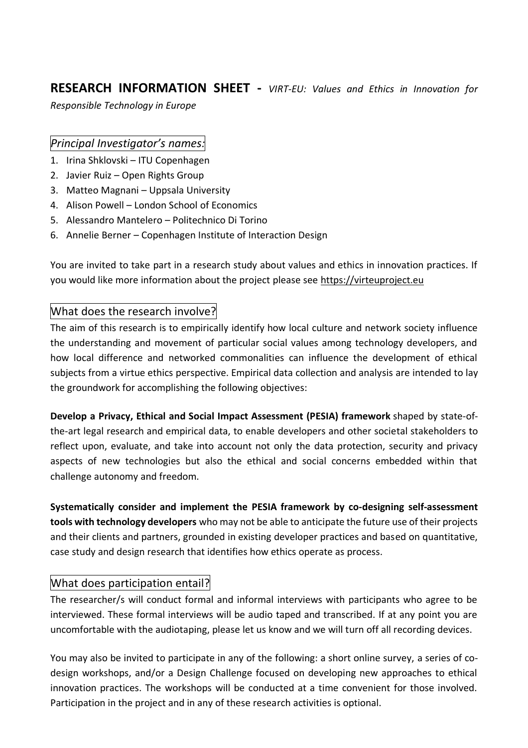**RESEARCH INFORMATION SHEET -** *VIRT-EU: Values and Ethics in Innovation for Responsible Technology in Europe*

#### *Principal Investigator's names:*

- 1. Irina Shklovski ITU Copenhagen
- 2. Javier Ruiz Open Rights Group
- 3. Matteo Magnani Uppsala University
- 4. Alison Powell London School of Economics
- 5. Alessandro Mantelero Politechnico Di Torino
- 6. Annelie Berner Copenhagen Institute of Interaction Design

You are invited to take part in a research study about values and ethics in innovation practices. If you would like more information about the project please see [https://virteuproject.eu](https://virteuproject.eu/)

### What does the research involve?

The aim of this research is to empirically identify how local culture and network society influence the understanding and movement of particular social values among technology developers, and how local difference and networked commonalities can influence the development of ethical subjects from a virtue ethics perspective. Empirical data collection and analysis are intended to lay the groundwork for accomplishing the following objectives:

**Develop a Privacy, Ethical and Social Impact Assessment (PESIA) framework** shaped by state-ofthe-art legal research and empirical data, to enable developers and other societal stakeholders to reflect upon, evaluate, and take into account not only the data protection, security and privacy aspects of new technologies but also the ethical and social concerns embedded within that challenge autonomy and freedom.

**Systematically consider and implement the PESIA framework by co-designing self-assessment tools with technology developers** who may not be able to anticipate the future use of their projects and their clients and partners, grounded in existing developer practices and based on quantitative, case study and design research that identifies how ethics operate as process.

#### What does participation entail?

The researcher/s will conduct formal and informal interviews with participants who agree to be interviewed. These formal interviews will be audio taped and transcribed. If at any point you are uncomfortable with the audiotaping, please let us know and we will turn off all recording devices.

You may also be invited to participate in any of the following: a short online survey, a series of codesign workshops, and/or a Design Challenge focused on developing new approaches to ethical innovation practices. The workshops will be conducted at a time convenient for those involved. Participation in the project and in any of these research activities is optional.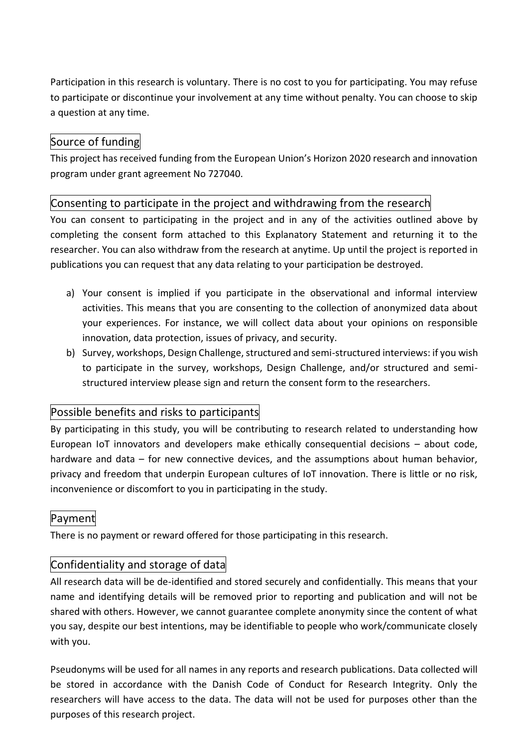Participation in this research is voluntary. There is no cost to you for participating. You may refuse to participate or discontinue your involvement at any time without penalty. You can choose to skip a question at any time.

## Source of funding

This project has received funding from the European Union's Horizon 2020 research and innovation program under grant agreement No 727040.

## Consenting to participate in the project and withdrawing from the research

You can consent to participating in the project and in any of the activities outlined above by completing the consent form attached to this Explanatory Statement and returning it to the researcher. You can also withdraw from the research at anytime. Up until the project is reported in publications you can request that any data relating to your participation be destroyed.

- a) Your consent is implied if you participate in the observational and informal interview activities. This means that you are consenting to the collection of anonymized data about your experiences. For instance, we will collect data about your opinions on responsible innovation, data protection, issues of privacy, and security.
- b) Survey, workshops, Design Challenge, structured and semi-structured interviews: if you wish to participate in the survey, workshops, Design Challenge, and/or structured and semistructured interview please sign and return the consent form to the researchers.

# Possible benefits and risks to participants

By participating in this study, you will be contributing to research related to understanding how European IoT innovators and developers make ethically consequential decisions – about code, hardware and data – for new connective devices, and the assumptions about human behavior, privacy and freedom that underpin European cultures of IoT innovation. There is little or no risk, inconvenience or discomfort to you in participating in the study.

# Payment

There is no payment or reward offered for those participating in this research.

## Confidentiality and storage of data

All research data will be de-identified and stored securely and confidentially. This means that your name and identifying details will be removed prior to reporting and publication and will not be shared with others. However, we cannot guarantee complete anonymity since the content of what you say, despite our best intentions, may be identifiable to people who work/communicate closely with you.

Pseudonyms will be used for all names in any reports and research publications. Data collected will be stored in accordance with the Danish Code of Conduct for Research Integrity. Only the researchers will have access to the data. The data will not be used for purposes other than the purposes of this research project.